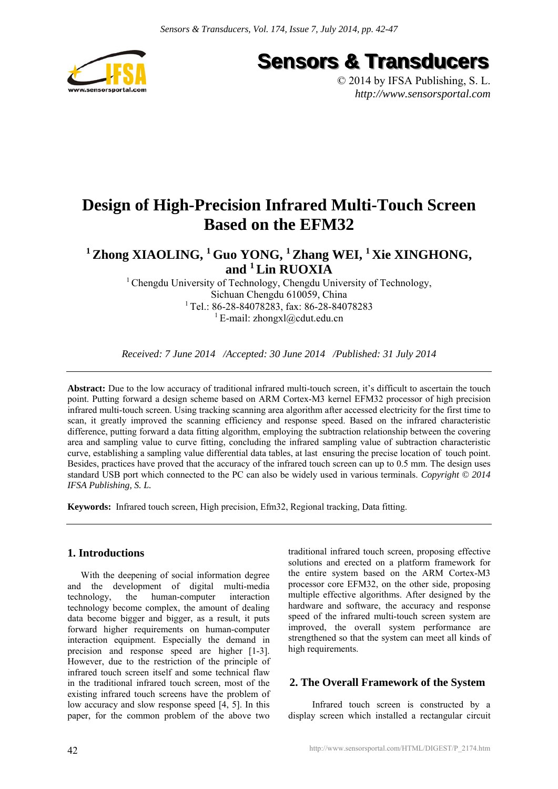

**Sensors & Transducers** 

© 2014 by IFSA Publishing, S. L. *http://www.sensorsportal.com*

## **Design of High-Precision Infrared Multi-Touch Screen Based on the EFM32**

**1 Zhong XIAOLING, 1 Guo YONG, 1 Zhang WEI, 1 Xie XINGHONG, and 1 Lin RUOXIA** 

> <sup>1</sup> Chengdu University of Technology, Chengdu University of Technology, Sichuan Chengdu 610059, China <sup>1</sup>Tel.: 86-28-84078283, fax: 86-28-84078283 <sup>1</sup> E-mail: zhongxl@cdut.edu.cn

*Received: 7 June 2014 /Accepted: 30 June 2014 /Published: 31 July 2014*

**Abstract:** Due to the low accuracy of traditional infrared multi-touch screen, it's difficult to ascertain the touch point. Putting forward a design scheme based on ARM Cortex-M3 kernel EFM32 processor of high precision infrared multi-touch screen. Using tracking scanning area algorithm after accessed electricity for the first time to scan, it greatly improved the scanning efficiency and response speed. Based on the infrared characteristic difference, putting forward a data fitting algorithm, employing the subtraction relationship between the covering area and sampling value to curve fitting, concluding the infrared sampling value of subtraction characteristic curve, establishing a sampling value differential data tables, at last ensuring the precise location of touch point. Besides, practices have proved that the accuracy of the infrared touch screen can up to 0.5 mm. The design uses standard USB port which connected to the PC can also be widely used in various terminals. *Copyright © 2014 IFSA Publishing, S. L.*

**Keywords:** Infrared touch screen, High precision, Efm32, Regional tracking, Data fitting.

## **1. Introductions**

With the deepening of social information degree and the development of digital multi-media technology, the human-computer interaction technology become complex, the amount of dealing data become bigger and bigger, as a result, it puts forward higher requirements on human-computer interaction equipment. Especially the demand in precision and response speed are higher [1-3]. However, due to the restriction of the principle of infrared touch screen itself and some technical flaw in the traditional infrared touch screen, most of the existing infrared touch screens have the problem of low accuracy and slow response speed [4, 5]. In this paper, for the common problem of the above two traditional infrared touch screen, proposing effective solutions and erected on a platform framework for the entire system based on the ARM Cortex-M3 processor core EFM32, on the other side, proposing multiple effective algorithms. After designed by the hardware and software, the accuracy and response speed of the infrared multi-touch screen system are improved, the overall system performance are strengthened so that the system can meet all kinds of high requirements.

## **2. The Overall Framework of the System**

Infrared touch screen is constructed by a display screen which installed a rectangular circuit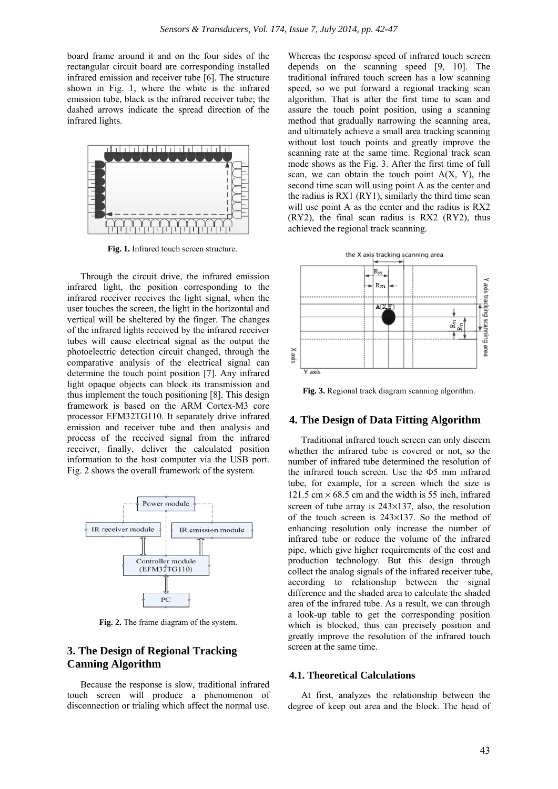board frame around it and on the four sides of the rectangular circuit board are corresponding installed infrared emission and receiver tube [6]. The structure shown in Fig. 1, where the white is the infrared emission tube, black is the infrared receiver tube; the dashed arrows indicate the spread direction of the infrared lights.



**Fig. 1.** Infrared touch screen structure.

Through the circuit drive, the infrared emission infrared light, the position corresponding to the infrared receiver receives the light signal, when the user touches the screen, the light in the horizontal and vertical will be sheltered by the finger. The changes of the infrared lights received by the infrared receiver tubes will cause electrical signal as the output the photoelectric detection circuit changed, through the comparative analysis of the electrical signal can determine the touch point position [7]. Any infrared light opaque objects can block its transmission and thus implement the touch positioning [8]. This design framework is based on the ARM Cortex-M3 core processor EFM32TG110. It separately drive infrared emission and receiver tube and then analysis and process of the received signal from the infrared receiver, finally, deliver the calculated position information to the host computer via the USB port. Fig. 2 shows the overall framework of the system.



**Fig. 2.** The frame diagram of the system.

## **3. The Design of Regional Tracking Canning Algorithm**

Because the response is slow, traditional infrared touch screen will produce a phenomenon of disconnection or trialing which affect the normal use.

Whereas the response speed of infrared touch screen depends on the scanning speed [9, 10]. The traditional infrared touch screen has a low scanning speed, so we put forward a regional tracking scan algorithm. That is after the first time to scan and assure the touch point position, using a scanning method that gradually narrowing the scanning area, and ultimately achieve a small area tracking scanning without lost touch points and greatly improve the scanning rate at the same time. Regional track scan mode shows as the Fig. 3. After the first time of full scan, we can obtain the touch point  $A(X, Y)$ , the second time scan will using point A as the center and the radius is RX1 (RY1), similarly the third time scan will use point A as the center and the radius is RX2 (RY2), the final scan radius is RX2 (RY2), thus achieved the regional track scanning.



**Fig. 3.** Regional track diagram scanning algorithm.

#### **4. The Design of Data Fitting Algorithm**

Traditional infrared touch screen can only discern whether the infrared tube is covered or not, so the number of infrared tube determined the resolution of the infrared touch screen. Use the Φ5 mm infrared tube, for example, for a screen which the size is 121.5 cm  $\times$  68.5 cm and the width is 55 inch, infrared screen of tube array is 243×137, also, the resolution of the touch screen is 243×137. So the method of enhancing resolution only increase the number of infrared tube or reduce the volume of the infrared pipe, which give higher requirements of the cost and production technology. But this design through collect the analog signals of the infrared receiver tube, according to relationship between the signal difference and the shaded area to calculate the shaded area of the infrared tube. As a result, we can through a look-up table to get the corresponding position which is blocked, thus can precisely position and greatly improve the resolution of the infrared touch screen at the same time.

#### **4.1. Theoretical Calculations**

At first, analyzes the relationship between the degree of keep out area and the block. The head of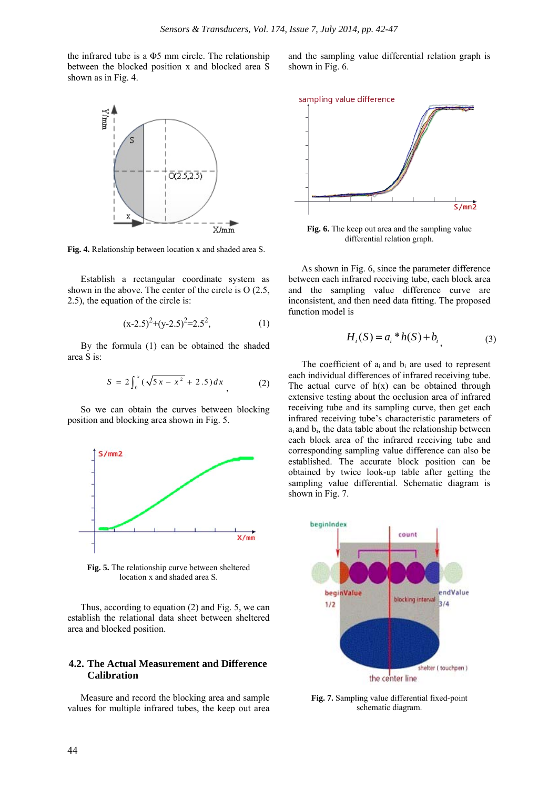the infrared tube is a Φ5 mm circle. The relationship between the blocked position x and blocked area S shown as in Fig. 4.



**Fig. 4.** Relationship between location x and shaded area S.

Establish a rectangular coordinate system as shown in the above. The center of the circle is O (2.5, 2.5), the equation of the circle is:

$$
(x-2.5)^2 + (y-2.5)^2 = 2.5^2, \tag{1}
$$

By the formula (1) can be obtained the shaded area S is:

$$
S = 2\int_0^x (\sqrt{5x - x^2} + 2.5) dx
$$
 (2)

So we can obtain the curves between blocking position and blocking area shown in Fig. 5.



**Fig. 5.** The relationship curve between sheltered location x and shaded area S.

Thus, according to equation (2) and Fig. 5, we can establish the relational data sheet between sheltered area and blocked position.

#### **4.2. The Actual Measurement and Difference Calibration**

Measure and record the blocking area and sample values for multiple infrared tubes, the keep out area

and the sampling value differential relation graph is shown in Fig. 6.



**Fig. 6.** The keep out area and the sampling value differential relation graph.

As shown in Fig. 6, since the parameter difference between each infrared receiving tube, each block area and the sampling value difference curve are inconsistent, and then need data fitting. The proposed function model is

$$
H_i(S) = a_i * h(S) + b_i
$$
 (3)

The coefficient of  $a_i$  and  $b_i$  are used to represent each individual differences of infrared receiving tube. The actual curve of  $h(x)$  can be obtained through extensive testing about the occlusion area of infrared receiving tube and its sampling curve, then get each infrared receiving tube's characteristic parameters of  $a_i$  and  $b_i$ , the data table about the relationship between each block area of the infrared receiving tube and corresponding sampling value difference can also be established. The accurate block position can be obtained by twice look-up table after getting the sampling value differential. Schematic diagram is shown in Fig. 7.



**Fig. 7.** Sampling value differential fixed-point schematic diagram.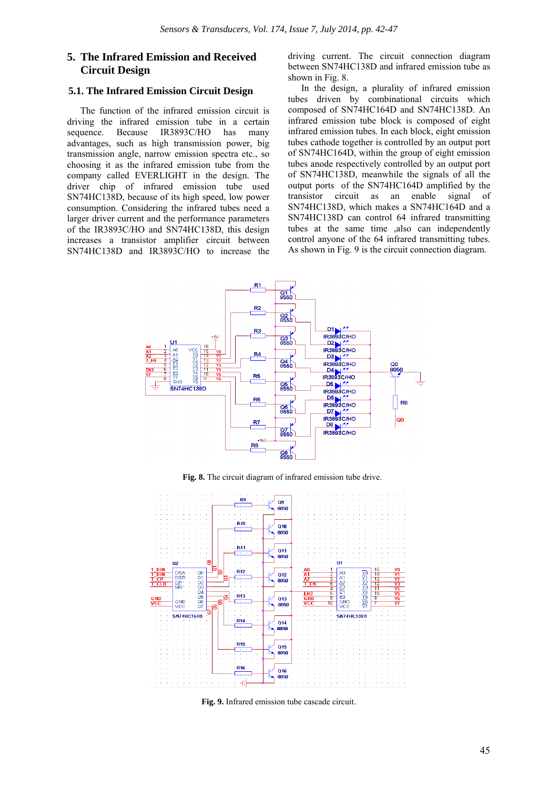## **5. The Infrared Emission and Received Circuit Design**

#### **5.1. The Infrared Emission Circuit Design**

The function of the infrared emission circuit is driving the infrared emission tube in a certain sequence. Because IR3893C/HO has many advantages, such as high transmission power, big transmission angle, narrow emission spectra etc., so choosing it as the infrared emission tube from the company called EVERLIGHT in the design. The driver chip of infrared emission tube used SN74HC138D, because of its high speed, low power consumption. Considering the infrared tubes need a larger driver current and the performance parameters of the IR3893C/HO and SN74HC138D, this design increases a transistor amplifier circuit between SN74HC138D and IR3893C/HO to increase the

driving current. The circuit connection diagram between SN74HC138D and infrared emission tube as shown in Fig. 8.

In the design, a plurality of infrared emission tubes driven by combinational circuits which composed of SN74HC164D and SN74HC138D. An infrared emission tube block is composed of eight infrared emission tubes. In each block, eight emission tubes cathode together is controlled by an output port of SN74HC164D, within the group of eight emission tubes anode respectively controlled by an output port of SN74HC138D, meanwhile the signals of all the output ports of the SN74HC164D amplified by the transistor circuit as an enable signal of SN74HC138D, which makes a SN74HC164D and a SN74HC138D can control 64 infrared transmitting tubes at the same time ,also can independently control anyone of the 64 infrared transmitting tubes. As shown in Fig. 9 is the circuit connection diagram.



**Fig. 8.** The circuit diagram of infrared emission tube drive.



**Fig. 9.** Infrared emission tube cascade circuit.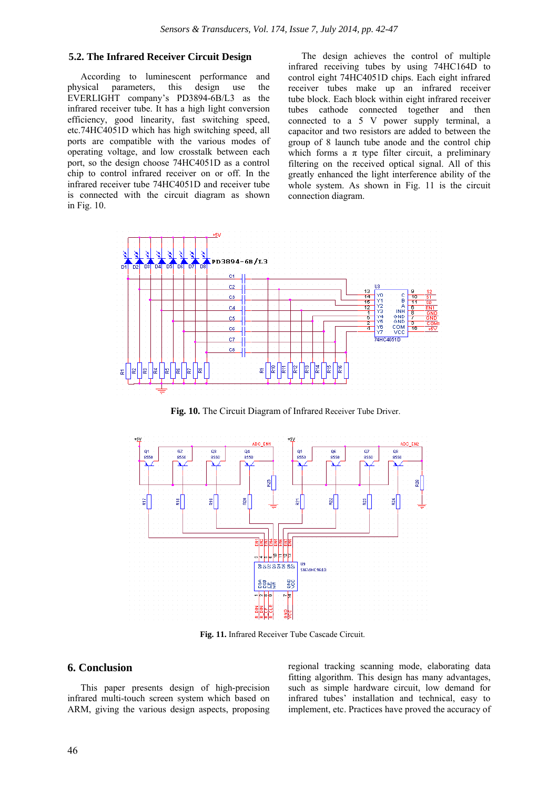## **5.2. The Infrared Receiver Circuit Design**

According to luminescent performance and physical parameters, this design use the EVERLIGHT company's PD3894-6B/L3 as the infrared receiver tube. It has a high light conversion efficiency, good linearity, fast switching speed, etc.74HC4051D which has high switching speed, all ports are compatible with the various modes of operating voltage, and low crosstalk between each port, so the design choose 74HC4051D as a control chip to control infrared receiver on or off. In the infrared receiver tube 74HC4051D and receiver tube is connected with the circuit diagram as shown in Fig. 10.

The design achieves the control of multiple infrared receiving tubes by using 74HC164D to control eight 74HC4051D chips. Each eight infrared receiver tubes make up an infrared receiver tube block. Each block within eight infrared receiver tubes cathode connected together and then connected to a 5 V power supply terminal, a capacitor and two resistors are added to between the group of 8 launch tube anode and the control chip which forms a  $\pi$  type filter circuit, a preliminary filtering on the received optical signal. All of this greatly enhanced the light interference ability of the whole system. As shown in Fig. 11 is the circuit connection diagram.



**Fig. 10.** The Circuit Diagram of Infrared Receiver Tube Driver.



**Fig. 11.** Infrared Receiver Tube Cascade Circuit.

#### **6. Conclusion**

This paper presents design of high-precision infrared multi-touch screen system which based on ARM, giving the various design aspects, proposing

regional tracking scanning mode, elaborating data fitting algorithm. This design has many advantages, such as simple hardware circuit, low demand for infrared tubes' installation and technical, easy to implement, etc. Practices have proved the accuracy of